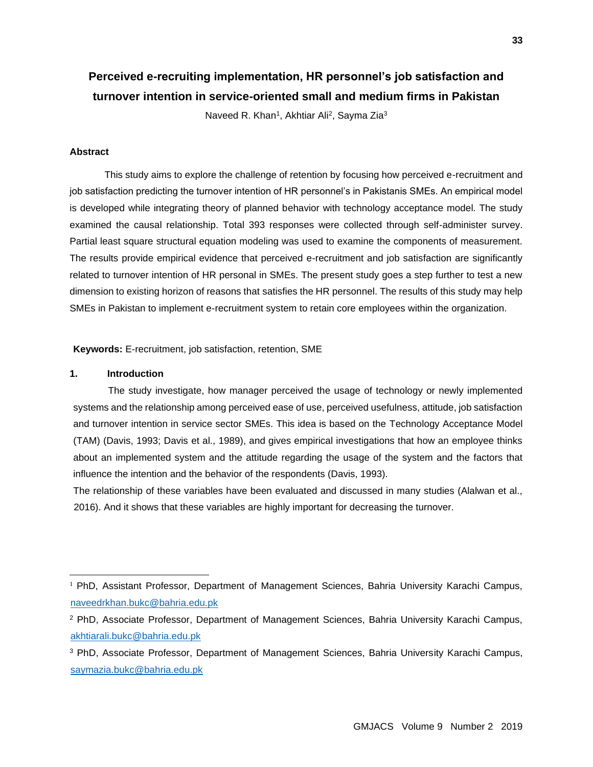# **Perceived e-recruiting implementation, HR personnel's job satisfaction and turnover intention in service-oriented small and medium firms in Pakistan**

Naveed R. Khan<sup>1</sup>, Akhtiar Ali<sup>2</sup>, Sayma Zia<sup>3</sup>

### **Abstract**

This study aims to explore the challenge of retention by focusing how perceived e-recruitment and job satisfaction predicting the turnover intention of HR personnel's in Pakistanis SMEs. An empirical model is developed while integrating theory of planned behavior with technology acceptance model. The study examined the causal relationship. Total 393 responses were collected through self-administer survey. Partial least square structural equation modeling was used to examine the components of measurement. The results provide empirical evidence that perceived e-recruitment and job satisfaction are significantly related to turnover intention of HR personal in SMEs. The present study goes a step further to test a new dimension to existing horizon of reasons that satisfies the HR personnel. The results of this study may help SMEs in Pakistan to implement e-recruitment system to retain core employees within the organization.

**Keywords:** E-recruitment, job satisfaction, retention, SME

### **1. Introduction**

The study investigate, how manager perceived the usage of technology or newly implemented systems and the relationship among perceived ease of use, perceived usefulness, attitude, job satisfaction and turnover intention in service sector SMEs. This idea is based on the Technology Acceptance Model (TAM) (Davis, 1993; Davis et al., 1989), and gives empirical investigations that how an employee thinks about an implemented system and the attitude regarding the usage of the system and the factors that influence the intention and the behavior of the respondents (Davis, 1993).

The relationship of these variables have been evaluated and discussed in many studies (Alalwan et al., 2016). And it shows that these variables are highly important for decreasing the turnover.

<sup>&</sup>lt;sup>1</sup> PhD, Assistant Professor, Department of Management Sciences, Bahria University Karachi Campus, [naveedrkhan.bukc@bahria.edu.pk](mailto:naveedrkhan.bukc@bahria.edu.pk)

<sup>2</sup> PhD, Associate Professor, Department of Management Sciences, Bahria University Karachi Campus, [akhtiarali.bukc@bahria.edu.pk](mailto:akhtiarali.bukc@bahria.edu.pk)

<sup>3</sup> PhD, Associate Professor, Department of Management Sciences, Bahria University Karachi Campus, [saymazia.bukc@bahria.edu.pk](mailto:saymazia.bukc@bahria.edu.pk)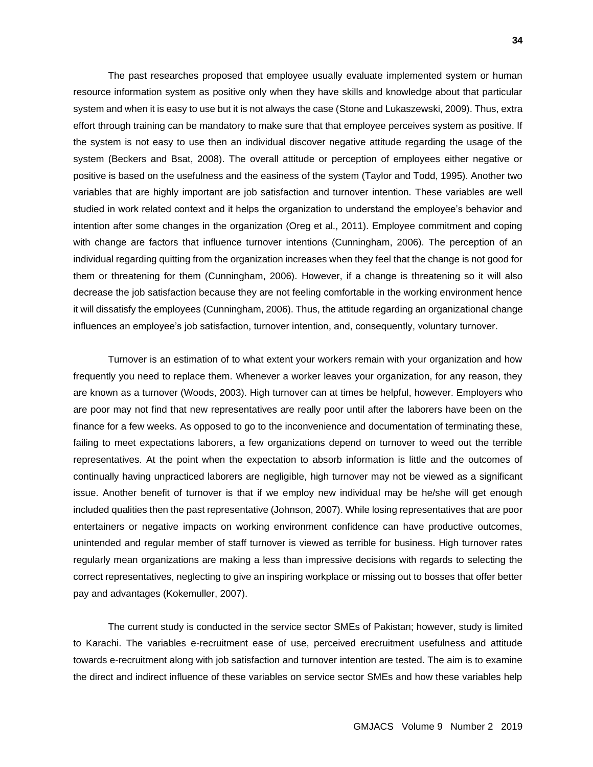The past researches proposed that employee usually evaluate implemented system or human resource information system as positive only when they have skills and knowledge about that particular system and when it is easy to use but it is not always the case (Stone and Lukaszewski, 2009). Thus, extra effort through training can be mandatory to make sure that that employee perceives system as positive. If the system is not easy to use then an individual discover negative attitude regarding the usage of the system (Beckers and Bsat, 2008). The overall attitude or perception of employees either negative or positive is based on the usefulness and the easiness of the system (Taylor and Todd, 1995). Another two variables that are highly important are job satisfaction and turnover intention. These variables are well studied in work related context and it helps the organization to understand the employee's behavior and intention after some changes in the organization (Oreg et al., 2011). Employee commitment and coping with change are factors that influence turnover intentions (Cunningham, 2006). The perception of an individual regarding quitting from the organization increases when they feel that the change is not good for them or threatening for them (Cunningham, 2006). However, if a change is threatening so it will also decrease the job satisfaction because they are not feeling comfortable in the working environment hence it will dissatisfy the employees (Cunningham, 2006). Thus, the attitude regarding an organizational change influences an employee's job satisfaction, turnover intention, and, consequently, voluntary turnover.

Turnover is an estimation of to what extent your workers remain with your organization and how frequently you need to replace them. Whenever a worker leaves your organization, for any reason, they are known as a turnover (Woods, 2003). High turnover can at times be helpful, however. Employers who are poor may not find that new representatives are really poor until after the laborers have been on the finance for a few weeks. As opposed to go to the inconvenience and documentation of terminating these, failing to meet expectations laborers, a few organizations depend on turnover to weed out the terrible representatives. At the point when the expectation to absorb information is little and the outcomes of continually having unpracticed laborers are negligible, high turnover may not be viewed as a significant issue. Another benefit of turnover is that if we employ new individual may be he/she will get enough included qualities then the past representative (Johnson, 2007). While losing representatives that are poor entertainers or negative impacts on working environment confidence can have productive outcomes, unintended and regular member of staff turnover is viewed as terrible for business. High turnover rates regularly mean organizations are making a less than impressive decisions with regards to selecting the correct representatives, neglecting to give an inspiring workplace or missing out to bosses that offer better pay and advantages (Kokemuller, 2007).

The current study is conducted in the service sector SMEs of Pakistan; however, study is limited to Karachi. The variables e-recruitment ease of use, perceived erecruitment usefulness and attitude towards e-recruitment along with job satisfaction and turnover intention are tested. The aim is to examine the direct and indirect influence of these variables on service sector SMEs and how these variables help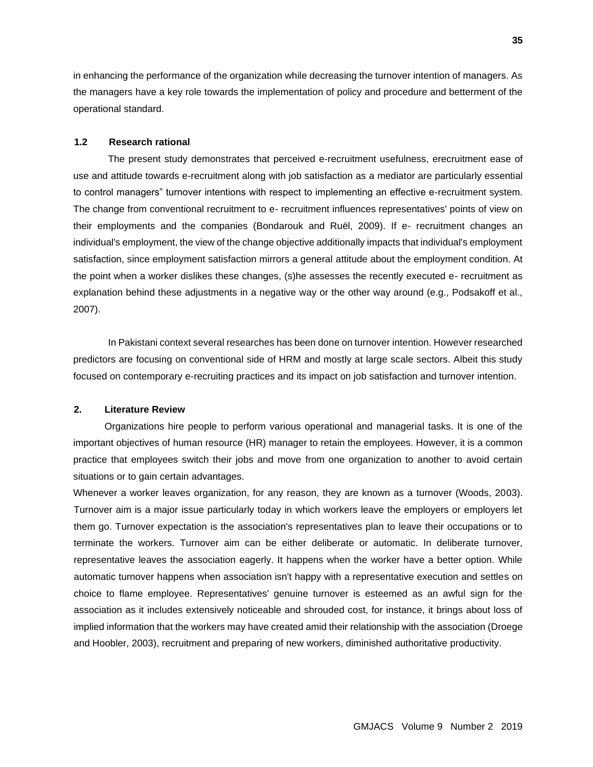in enhancing the performance of the organization while decreasing the turnover intention of managers. As the managers have a key role towards the implementation of policy and procedure and betterment of the operational standard.

### **1.2 Research rational**

The present study demonstrates that perceived e-recruitment usefulness, erecruitment ease of use and attitude towards e-recruitment along with job satisfaction as a mediator are particularly essential to control managers" turnover intentions with respect to implementing an effective e-recruitment system. The change from conventional recruitment to e- recruitment influences representatives' points of view on their employments and the companies (Bondarouk and Ruël, 2009). If e- recruitment changes an individual's employment, the view of the change objective additionally impacts that individual's employment satisfaction, since employment satisfaction mirrors a general attitude about the employment condition. At the point when a worker dislikes these changes, (s)he assesses the recently executed e- recruitment as explanation behind these adjustments in a negative way or the other way around (e.g., Podsakoff et al., 2007).

In Pakistani context several researches has been done on turnover intention. However researched predictors are focusing on conventional side of HRM and mostly at large scale sectors. Albeit this study focused on contemporary e-recruiting practices and its impact on job satisfaction and turnover intention.

### **2. Literature Review**

Organizations hire people to perform various operational and managerial tasks. It is one of the important objectives of human resource (HR) manager to retain the employees. However, it is a common practice that employees switch their jobs and move from one organization to another to avoid certain situations or to gain certain advantages.

Whenever a worker leaves organization, for any reason, they are known as a turnover (Woods, 2003). Turnover aim is a major issue particularly today in which workers leave the employers or employers let them go. Turnover expectation is the association's representatives plan to leave their occupations or to terminate the workers. Turnover aim can be either deliberate or automatic. In deliberate turnover, representative leaves the association eagerly. It happens when the worker have a better option. While automatic turnover happens when association isn't happy with a representative execution and settles on choice to flame employee. Representatives' genuine turnover is esteemed as an awful sign for the association as it includes extensively noticeable and shrouded cost, for instance, it brings about loss of implied information that the workers may have created amid their relationship with the association (Droege and Hoobler, 2003), recruitment and preparing of new workers, diminished authoritative productivity.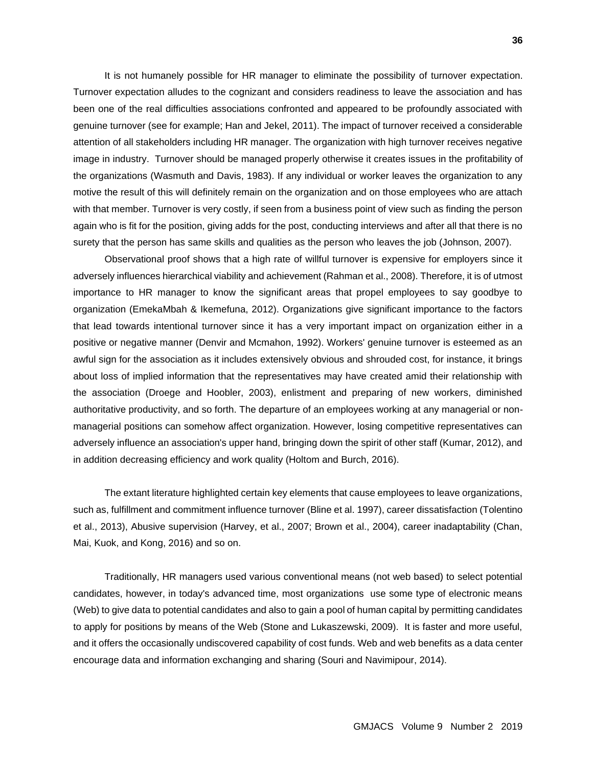It is not humanely possible for HR manager to eliminate the possibility of turnover expectation. Turnover expectation alludes to the cognizant and considers readiness to leave the association and has been one of the real difficulties associations confronted and appeared to be profoundly associated with genuine turnover (see for example; Han and Jekel, 2011). The impact of turnover received a considerable attention of all stakeholders including HR manager. The organization with high turnover receives negative image in industry. Turnover should be managed properly otherwise it creates issues in the profitability of the organizations (Wasmuth and Davis, 1983). If any individual or worker leaves the organization to any motive the result of this will definitely remain on the organization and on those employees who are attach with that member. Turnover is very costly, if seen from a business point of view such as finding the person again who is fit for the position, giving adds for the post, conducting interviews and after all that there is no surety that the person has same skills and qualities as the person who leaves the job (Johnson, 2007).

Observational proof shows that a high rate of willful turnover is expensive for employers since it adversely influences hierarchical viability and achievement (Rahman et al., 2008). Therefore, it is of utmost importance to HR manager to know the significant areas that propel employees to say goodbye to organization (EmekaMbah & Ikemefuna, 2012). Organizations give significant importance to the factors that lead towards intentional turnover since it has a very important impact on organization either in a positive or negative manner (Denvir and Mcmahon, 1992). Workers' genuine turnover is esteemed as an awful sign for the association as it includes extensively obvious and shrouded cost, for instance, it brings about loss of implied information that the representatives may have created amid their relationship with the association (Droege and Hoobler, 2003), enlistment and preparing of new workers, diminished authoritative productivity, and so forth. The departure of an employees working at any managerial or nonmanagerial positions can somehow affect organization. However, losing competitive representatives can adversely influence an association's upper hand, bringing down the spirit of other staff (Kumar, 2012), and in addition decreasing efficiency and work quality (Holtom and Burch, 2016).

The extant literature highlighted certain key elements that cause employees to leave organizations, such as, fulfillment and commitment influence turnover (Bline et al. 1997), career dissatisfaction (Tolentino et al., 2013), Abusive supervision (Harvey, et al., 2007; Brown et al., 2004), career inadaptability (Chan, Mai, Kuok, and Kong, 2016) and so on.

Traditionally, HR managers used various conventional means (not web based) to select potential candidates, however, in today's advanced time, most organizations use some type of electronic means (Web) to give data to potential candidates and also to gain a pool of human capital by permitting candidates to apply for positions by means of the Web (Stone and Lukaszewski, 2009). It is faster and more useful, and it offers the occasionally undiscovered capability of cost funds. Web and web benefits as a data center encourage data and information exchanging and sharing (Souri and Navimipour, 2014).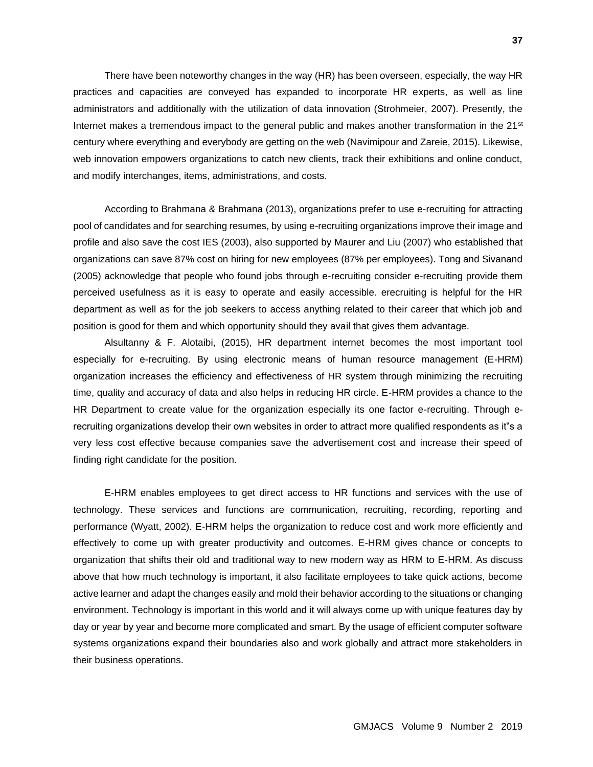There have been noteworthy changes in the way (HR) has been overseen, especially, the way HR practices and capacities are conveyed has expanded to incorporate HR experts, as well as line administrators and additionally with the utilization of data innovation (Strohmeier, 2007). Presently, the Internet makes a tremendous impact to the general public and makes another transformation in the 21<sup>st</sup> century where everything and everybody are getting on the web (Navimipour and Zareie, 2015). Likewise, web innovation empowers organizations to catch new clients, track their exhibitions and online conduct, and modify interchanges, items, administrations, and costs.

According to Brahmana & Brahmana (2013), organizations prefer to use e-recruiting for attracting pool of candidates and for searching resumes, by using e-recruiting organizations improve their image and profile and also save the cost IES (2003), also supported by Maurer and Liu (2007) who established that organizations can save 87% cost on hiring for new employees (87% per employees). Tong and Sivanand (2005) acknowledge that people who found jobs through e-recruiting consider e-recruiting provide them perceived usefulness as it is easy to operate and easily accessible. erecruiting is helpful for the HR department as well as for the job seekers to access anything related to their career that which job and position is good for them and which opportunity should they avail that gives them advantage.

Alsultanny & F. Alotaibi, (2015), HR department internet becomes the most important tool especially for e-recruiting. By using electronic means of human resource management (E-HRM) organization increases the efficiency and effectiveness of HR system through minimizing the recruiting time, quality and accuracy of data and also helps in reducing HR circle. E-HRM provides a chance to the HR Department to create value for the organization especially its one factor e-recruiting. Through erecruiting organizations develop their own websites in order to attract more qualified respondents as it"s a very less cost effective because companies save the advertisement cost and increase their speed of finding right candidate for the position.

E-HRM enables employees to get direct access to HR functions and services with the use of technology. These services and functions are communication, recruiting, recording, reporting and performance (Wyatt, 2002). E-HRM helps the organization to reduce cost and work more efficiently and effectively to come up with greater productivity and outcomes. E-HRM gives chance or concepts to organization that shifts their old and traditional way to new modern way as HRM to E-HRM. As discuss above that how much technology is important, it also facilitate employees to take quick actions, become active learner and adapt the changes easily and mold their behavior according to the situations or changing environment. Technology is important in this world and it will always come up with unique features day by day or year by year and become more complicated and smart. By the usage of efficient computer software systems organizations expand their boundaries also and work globally and attract more stakeholders in their business operations.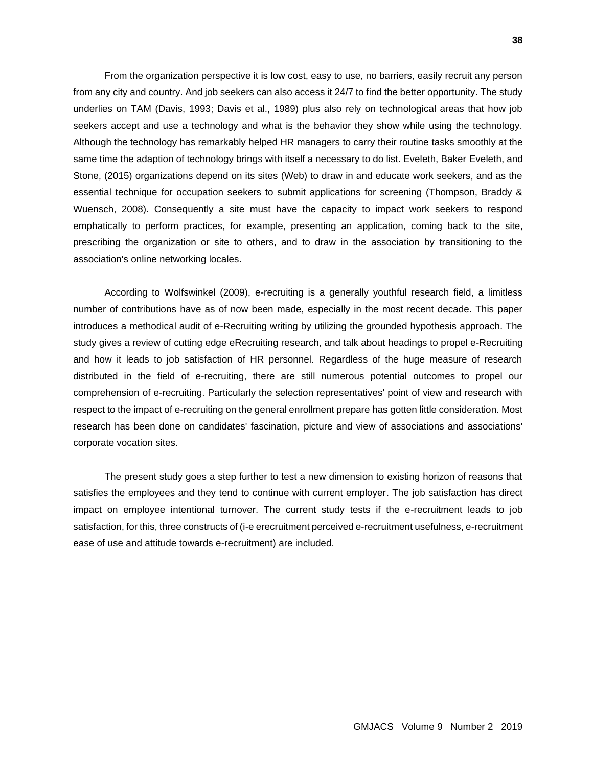From the organization perspective it is low cost, easy to use, no barriers, easily recruit any person from any city and country. And job seekers can also access it 24/7 to find the better opportunity. The study underlies on TAM (Davis, 1993; Davis et al., 1989) plus also rely on technological areas that how job seekers accept and use a technology and what is the behavior they show while using the technology. Although the technology has remarkably helped HR managers to carry their routine tasks smoothly at the same time the adaption of technology brings with itself a necessary to do list. Eveleth, Baker Eveleth, and Stone, (2015) organizations depend on its sites (Web) to draw in and educate work seekers, and as the essential technique for occupation seekers to submit applications for screening (Thompson, Braddy & Wuensch, 2008). Consequently a site must have the capacity to impact work seekers to respond emphatically to perform practices, for example, presenting an application, coming back to the site, prescribing the organization or site to others, and to draw in the association by transitioning to the association's online networking locales.

According to Wolfswinkel (2009), e-recruiting is a generally youthful research field, a limitless number of contributions have as of now been made, especially in the most recent decade. This paper introduces a methodical audit of e-Recruiting writing by utilizing the grounded hypothesis approach. The study gives a review of cutting edge eRecruiting research, and talk about headings to propel e-Recruiting and how it leads to job satisfaction of HR personnel. Regardless of the huge measure of research distributed in the field of e-recruiting, there are still numerous potential outcomes to propel our comprehension of e-recruiting. Particularly the selection representatives' point of view and research with respect to the impact of e-recruiting on the general enrollment prepare has gotten little consideration. Most research has been done on candidates' fascination, picture and view of associations and associations' corporate vocation sites.

The present study goes a step further to test a new dimension to existing horizon of reasons that satisfies the employees and they tend to continue with current employer. The job satisfaction has direct impact on employee intentional turnover. The current study tests if the e-recruitment leads to job satisfaction, for this, three constructs of (i-e erecruitment perceived e-recruitment usefulness, e-recruitment ease of use and attitude towards e-recruitment) are included.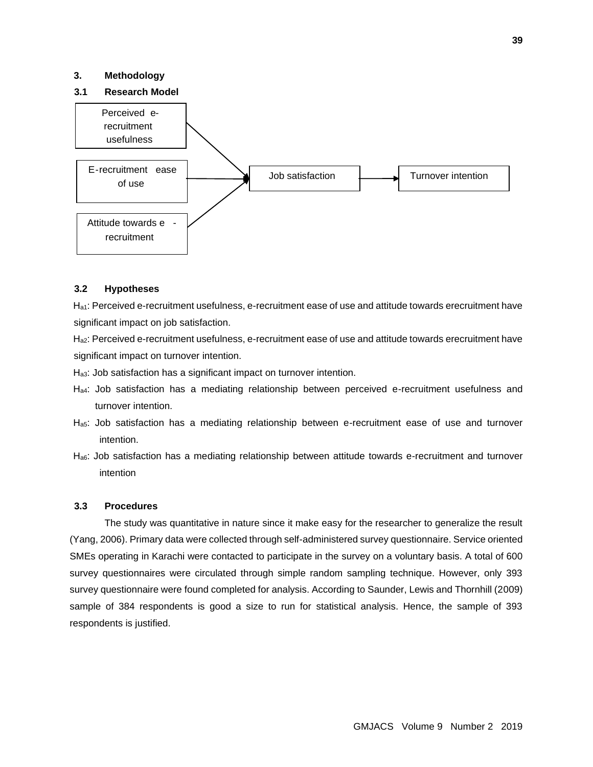### **3. Methodology**

### **3.1 Research Model**



### **3.2 Hypotheses**

H<sub>a1</sub>: Perceived e-recruitment usefulness, e-recruitment ease of use and attitude towards erecruitment have significant impact on job satisfaction.

Ha2: Perceived e-recruitment usefulness, e-recruitment ease of use and attitude towards erecruitment have significant impact on turnover intention.

Ha3: Job satisfaction has a significant impact on turnover intention.

- Ha4: Job satisfaction has a mediating relationship between perceived e-recruitment usefulness and turnover intention.
- Ha5: Job satisfaction has a mediating relationship between e-recruitment ease of use and turnover intention.
- Ha6: Job satisfaction has a mediating relationship between attitude towards e-recruitment and turnover intention

#### **3.3 Procedures**

The study was quantitative in nature since it make easy for the researcher to generalize the result (Yang, 2006). Primary data were collected through self-administered survey questionnaire. Service oriented SMEs operating in Karachi were contacted to participate in the survey on a voluntary basis. A total of 600 survey questionnaires were circulated through simple random sampling technique. However, only 393 survey questionnaire were found completed for analysis. According to Saunder, Lewis and Thornhill (2009) sample of 384 respondents is good a size to run for statistical analysis. Hence, the sample of 393 respondents is justified.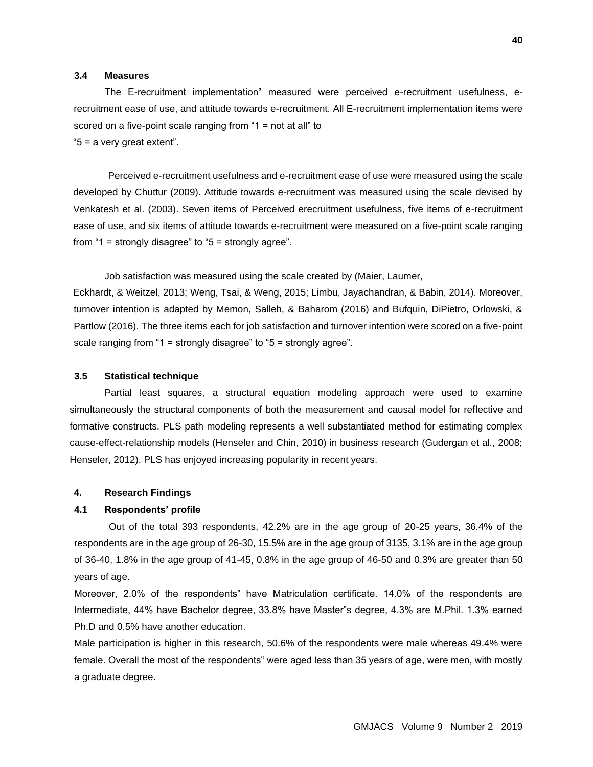### **3.4 Measures**

The E-recruitment implementation" measured were perceived e-recruitment usefulness, erecruitment ease of use, and attitude towards e-recruitment. All E-recruitment implementation items were scored on a five-point scale ranging from "1 = not at all" to "5 = a very great extent".

Perceived e-recruitment usefulness and e-recruitment ease of use were measured using the scale developed by Chuttur (2009). Attitude towards e-recruitment was measured using the scale devised by Venkatesh et al. (2003). Seven items of Perceived erecruitment usefulness, five items of e-recruitment ease of use, and six items of attitude towards e-recruitment were measured on a five-point scale ranging from "1 = strongly disagree" to "5 = strongly agree".

Job satisfaction was measured using the scale created by (Maier, Laumer,

Eckhardt, & Weitzel, 2013; Weng, Tsai, & Weng, 2015; Limbu, Jayachandran, & Babin, 2014). Moreover, turnover intention is adapted by Memon, Salleh, & Baharom (2016) and Bufquin, DiPietro, Orlowski, & Partlow (2016). The three items each for job satisfaction and turnover intention were scored on a five-point scale ranging from "1 = strongly disagree" to "5 = strongly agree".

### **3.5 Statistical technique**

Partial least squares, a structural equation modeling approach were used to examine simultaneously the structural components of both the measurement and causal model for reflective and formative constructs. PLS path modeling represents a well substantiated method for estimating complex cause-effect-relationship models (Henseler and Chin, 2010) in business research (Gudergan et al., 2008; Henseler, 2012). PLS has enjoyed increasing popularity in recent years.

### **4. Research Findings**

### **4.1 Respondents' profile**

Out of the total 393 respondents, 42.2% are in the age group of 20-25 years, 36.4% of the respondents are in the age group of 26-30, 15.5% are in the age group of 3135, 3.1% are in the age group of 36-40, 1.8% in the age group of 41-45, 0.8% in the age group of 46-50 and 0.3% are greater than 50 years of age.

Moreover, 2.0% of the respondents" have Matriculation certificate. 14.0% of the respondents are Intermediate, 44% have Bachelor degree, 33.8% have Master"s degree, 4.3% are M.Phil. 1.3% earned Ph.D and 0.5% have another education.

Male participation is higher in this research, 50.6% of the respondents were male whereas 49.4% were female. Overall the most of the respondents" were aged less than 35 years of age, were men, with mostly a graduate degree.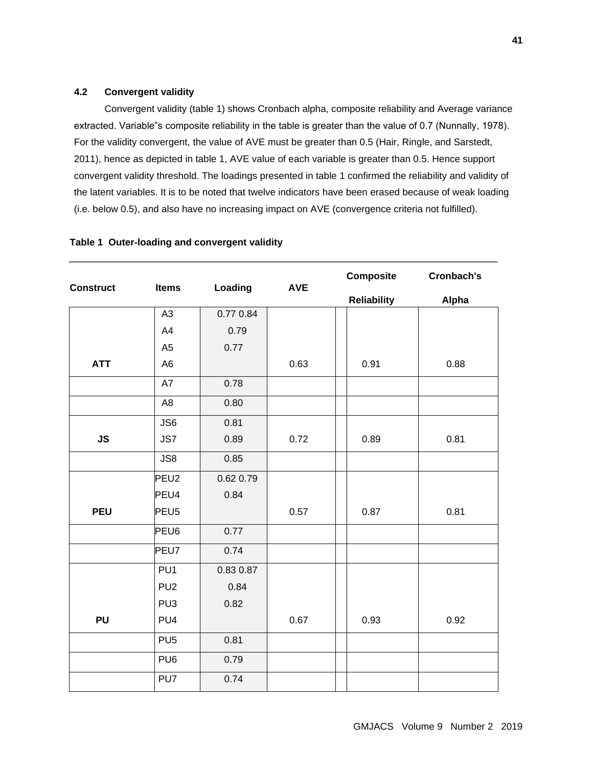# **4.2 Convergent validity**

Convergent validity (table 1) shows Cronbach alpha, composite reliability and Average variance extracted. Variable"s composite reliability in the table is greater than the value of 0.7 (Nunnally, 1978). For the validity convergent, the value of AVE must be greater than 0.5 (Hair, Ringle, and Sarstedt, 2011), hence as depicted in table 1, AVE value of each variable is greater than 0.5. Hence support convergent validity threshold. The loadings presented in table 1 confirmed the reliability and validity of the latent variables. It is to be noted that twelve indicators have been erased because of weak loading (i.e. below 0.5), and also have no increasing impact on AVE (convergence criteria not fulfilled).

| <b>Construct</b> | <b>Items</b>     | Loading   | <b>AVE</b> | <b>Composite</b>   | <b>Cronbach's</b> |  |
|------------------|------------------|-----------|------------|--------------------|-------------------|--|
|                  |                  |           |            | <b>Reliability</b> | Alpha             |  |
|                  | A <sub>3</sub>   | 0.77 0.84 |            |                    |                   |  |
|                  | A4               | 0.79      |            |                    |                   |  |
|                  | A <sub>5</sub>   | 0.77      |            |                    |                   |  |
| <b>ATT</b>       | A <sub>6</sub>   |           | 0.63       | 0.91               | 0.88              |  |
|                  | A7               | 0.78      |            |                    |                   |  |
|                  | A <sub>8</sub>   | 0.80      |            |                    |                   |  |
|                  | JS6              | 0.81      |            |                    |                   |  |
| <b>JS</b>        | JS7              | 0.89      | 0.72       | 0.89               | 0.81              |  |
|                  | JS8              | 0.85      |            |                    |                   |  |
|                  | PEU <sub>2</sub> | 0.62 0.79 |            |                    |                   |  |
|                  | PEU4             | 0.84      |            |                    |                   |  |
| <b>PEU</b>       | PEU <sub>5</sub> |           | 0.57       | 0.87               | 0.81              |  |
|                  | PEU6             | 0.77      |            |                    |                   |  |
|                  | PEU7             | 0.74      |            |                    |                   |  |
|                  | PU <sub>1</sub>  | 0.83 0.87 |            |                    |                   |  |
|                  | PU <sub>2</sub>  | 0.84      |            |                    |                   |  |
|                  | PU <sub>3</sub>  | 0.82      |            |                    |                   |  |
| <b>PU</b>        | PU4              |           | 0.67       | 0.93               | 0.92              |  |
|                  | PU <sub>5</sub>  | 0.81      |            |                    |                   |  |
|                  | PU <sub>6</sub>  | 0.79      |            |                    |                   |  |
|                  | PU7              | 0.74      |            |                    |                   |  |

# **Table 1 Outer-loading and convergent validity**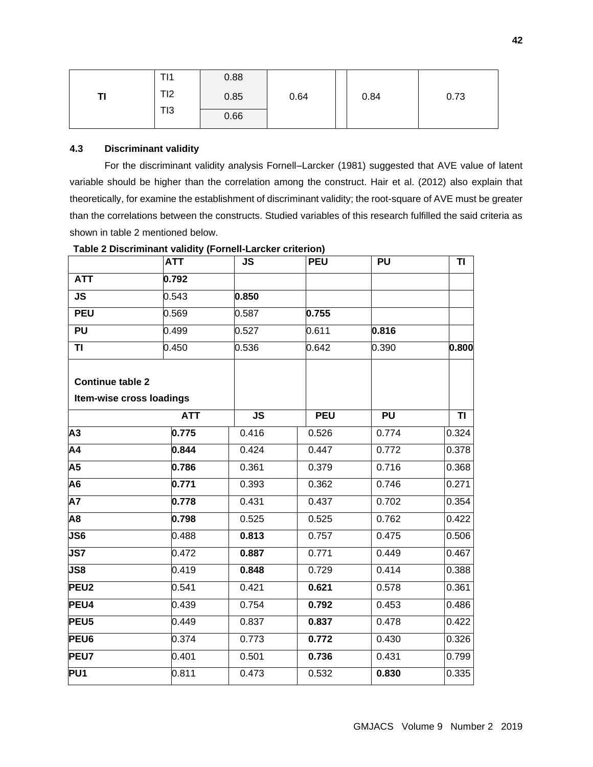| TI1 | 0.88 |      |      |      |
|-----|------|------|------|------|
| TI2 | 0.85 | 0.64 | 0.84 | 0.73 |
| TI3 | 0.66 |      |      |      |

# **4.3 Discriminant validity**

For the discriminant validity analysis Fornell–Larcker (1981) suggested that AVE value of latent variable should be higher than the correlation among the construct. Hair et al. (2012) also explain that theoretically, for examine the establishment of discriminant validity; the root-square of AVE must be greater than the correlations between the constructs. Studied variables of this research fulfilled the said criteria as shown in table 2 mentioned below.

|                         | <b>ATT</b>               | <b>JS</b> | <b>PEU</b> | <b>PU</b> | TI    |
|-------------------------|--------------------------|-----------|------------|-----------|-------|
| <b>ATT</b>              | 0.792                    |           |            |           |       |
| <b>JS</b>               | 0.543                    | 0.850     |            |           |       |
| <b>PEU</b>              | 0.569                    | 0.587     | 0.755      |           |       |
| PU                      | 0.499                    | 0.527     | 0.611      | 0.816     |       |
| TI                      | 0.450                    | 0.536     | 0.642      | 0.390     | 0.800 |
| <b>Continue table 2</b> |                          |           |            |           |       |
|                         | Item-wise cross loadings |           |            |           |       |
|                         | <b>ATT</b>               | <b>JS</b> | <b>PEU</b> | <b>PU</b> | TI    |
| $\overline{A3}$         | 0.775                    | 0.416     | 0.526      | 0.774     | 0.324 |
| $\overline{A4}$         | 0.844                    | 0.424     | 0.447      | 0.772     | 0.378 |
| A <sub>5</sub>          | 0.786                    | 0.361     | 0.379      | 0.716     | 0.368 |
| A <sub>6</sub>          | 0.771                    | 0.393     | 0.362      | 0.746     | 0.271 |
| A7                      | 0.778                    | 0.431     | 0.437      | 0.702     | 0.354 |
| A8                      | 0.798                    | 0.525     | 0.525      | 0.762     | 0.422 |
| JS6                     | 0.488                    | 0.813     | 0.757      | 0.475     | 0.506 |
| <b>JS7</b>              | 0.472                    | 0.887     | 0.771      | 0.449     | 0.467 |
| JS8                     | 0.419                    | 0.848     | 0.729      | 0.414     | 0.388 |
| PEU <sub>2</sub>        | 0.541                    | 0.421     | 0.621      | 0.578     | 0.361 |
| PEU4                    | 0.439                    | 0.754     | 0.792      | 0.453     | 0.486 |
| PEU <sub>5</sub>        | 0.449                    | 0.837     | 0.837      | 0.478     | 0.422 |
| PEU6                    | 0.374                    | 0.773     | 0.772      | 0.430     | 0.326 |
| <b>PEU7</b>             | 0.401                    | 0.501     | 0.736      | 0.431     | 0.799 |
| PU <sub>1</sub>         | 0.811                    | 0.473     | 0.532      | 0.830     | 0.335 |

# **Table 2 Discriminant validity (Fornell-Larcker criterion)**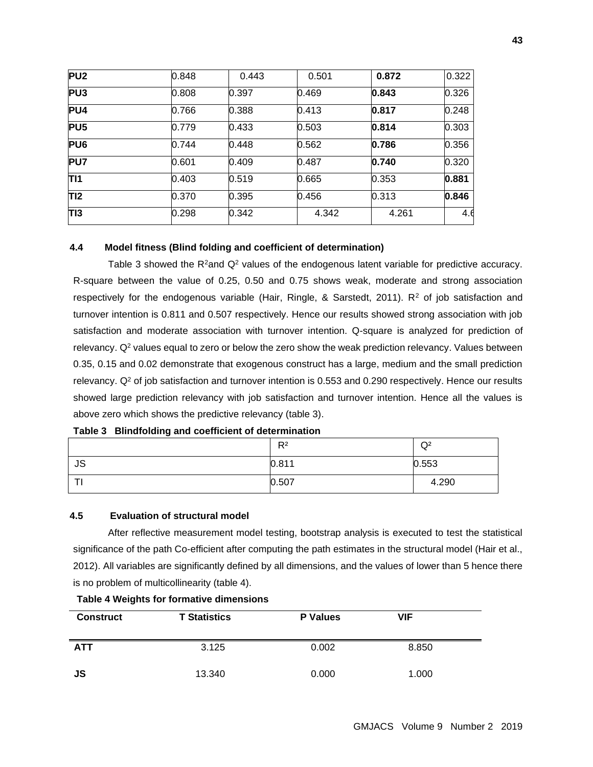| PU <sub>2</sub> | 0.848 | 0.443 | 0.501 | 0.872 | 0.322 |
|-----------------|-------|-------|-------|-------|-------|
| PU <sub>3</sub> | 0.808 | 0.397 | 0.469 | 0.843 | 0.326 |
| PU4             | 0.766 | 0.388 | 0.413 | 0.817 | 0.248 |
| PU <sub>5</sub> | 0.779 | 0.433 | 0.503 | 0.814 | 0.303 |
| PU <sub>6</sub> | 0.744 | 0.448 | 0.562 | 0.786 | 0.356 |
| PU7             | 0.601 | 0.409 | 0.487 | 0.740 | 0.320 |
| TI1             | 0.403 | 0.519 | 0.665 | 0.353 | 0.881 |
| TI2             | 0.370 | 0.395 | 0.456 | 0.313 | 0.846 |
| T <sub>13</sub> | 0.298 | 0.342 | 4.342 | 4.261 | 4.6   |

# **4.4 Model fitness (Blind folding and coefficient of determination)**

Table 3 showed the  $R^2$ and  $Q^2$  values of the endogenous latent variable for predictive accuracy. R-square between the value of 0.25, 0.50 and 0.75 shows weak, moderate and strong association respectively for the endogenous variable (Hair, Ringle, & Sarstedt, 2011).  $R<sup>2</sup>$  of job satisfaction and turnover intention is 0.811 and 0.507 respectively. Hence our results showed strong association with job satisfaction and moderate association with turnover intention. Q-square is analyzed for prediction of relevancy.  $Q<sup>2</sup>$  values equal to zero or below the zero show the weak prediction relevancy. Values between 0.35, 0.15 and 0.02 demonstrate that exogenous construct has a large, medium and the small prediction relevancy.  $Q<sup>2</sup>$  of job satisfaction and turnover intention is 0.553 and 0.290 respectively. Hence our results showed large prediction relevancy with job satisfaction and turnover intention. Hence all the values is above zero which shows the predictive relevancy (table 3).

### **Table 3 Blindfolding and coefficient of determination**

|           | R <sup>2</sup> | Q <sup>2</sup> |
|-----------|----------------|----------------|
| <b>JS</b> | 0.811          | 0.553          |
|           | 0.507          | 4.290          |

### **4.5 Evaluation of structural model**

After reflective measurement model testing, bootstrap analysis is executed to test the statistical significance of the path Co-efficient after computing the path estimates in the structural model (Hair et al., 2012). All variables are significantly defined by all dimensions, and the values of lower than 5 hence there is no problem of multicollinearity (table 4).

| <b>Construct</b> | <b>T Statistics</b> | <b>P</b> Values | <b>VIF</b> |  |
|------------------|---------------------|-----------------|------------|--|
| <b>ATT</b>       | 3.125               | 0.002           | 8.850      |  |
| JS               | 13.340              | 0.000           | 1.000      |  |

### **Table 4 Weights for formative dimensions**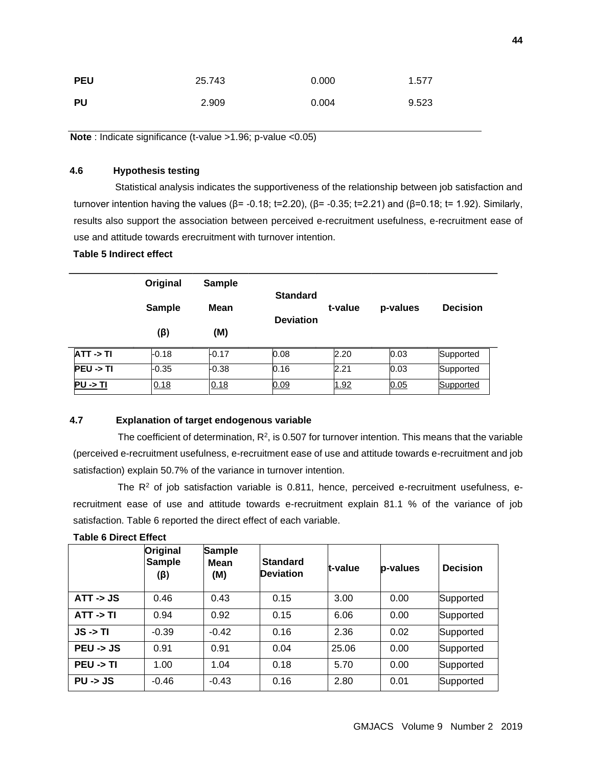| <b>PEU</b> | 25.743 | 0.000 | 1.577 |
|------------|--------|-------|-------|
| <b>PU</b>  | 2.909  | 0.004 | 9.523 |

**Note** : Indicate significance (t-value >1.96; p-value <0.05)

# **4.6 Hypothesis testing**

 Statistical analysis indicates the supportiveness of the relationship between job satisfaction and turnover intention having the values (β= -0.18; t=2.20), (β= -0.35; t=2.21) and (β=0.18; t= 1.92). Similarly, results also support the association between perceived e-recruitment usefulness, e-recruitment ease of use and attitude towards erecruitment with turnover intention.

# **Table 5 Indirect effect**

|                      | Original      | <b>Sample</b> | <b>Standard</b>  |         |          |                 |
|----------------------|---------------|---------------|------------------|---------|----------|-----------------|
|                      | <b>Sample</b> | Mean          | <b>Deviation</b> | t-value | p-values | <b>Decision</b> |
|                      | $(\beta)$     | (M)           |                  |         |          |                 |
| $ATT \rightarrow TI$ | $-0.18$       | $-0.17$       | 0.08             | 2.20    | 0.03     | Supported       |
| $PEU \rightarrow TI$ | $-0.35$       | $-0.38$       | 0.16             | 2.21    | 0.03     | Supported       |
| $PU \rightarrow TI$  | 0.18          | 0.18          | 0.09             | 1.92    | 0.05     | Supported       |

### **4.7 Explanation of target endogenous variable**

The coefficient of determination,  $R^2$ , is 0.507 for turnover intention. This means that the variable (perceived e-recruitment usefulness, e-recruitment ease of use and attitude towards e-recruitment and job satisfaction) explain 50.7% of the variance in turnover intention.

The  $R<sup>2</sup>$  of job satisfaction variable is 0.811, hence, perceived e-recruitment usefulness, erecruitment ease of use and attitude towards e-recruitment explain 81.1 % of the variance of job satisfaction. Table 6 reported the direct effect of each variable.

|                      | Original<br><b>Sample</b><br>(ß) | <b>Sample</b><br>Mean<br>(M) | <b>Standard</b><br><b>Deviation</b> | t-value | p-values | <b>Decision</b> |
|----------------------|----------------------------------|------------------------------|-------------------------------------|---------|----------|-----------------|
| $ATT - 5JS$          | 0.46                             | 0.43                         | 0.15                                | 3.00    | 0.00     | Supported       |
| $ATT \rightarrow TI$ | 0.94                             | 0.92                         | 0.15                                | 6.06    | 0.00     | Supported       |
| $JS \rightarrow TI$  | $-0.39$                          | $-0.42$                      | 0.16                                | 2.36    | 0.02     | Supported       |
| $PEU - 3S$           | 0.91                             | 0.91                         | 0.04                                | 25.06   | 0.00     | Supported       |
| $PEU \rightarrow TI$ | 1.00                             | 1.04                         | 0.18                                | 5.70    | 0.00     | Supported       |
| $PU \rightarrow JS$  | $-0.46$                          | $-0.43$                      | 0.16                                | 2.80    | 0.01     | Supported       |

#### **Table 6 Direct Effect**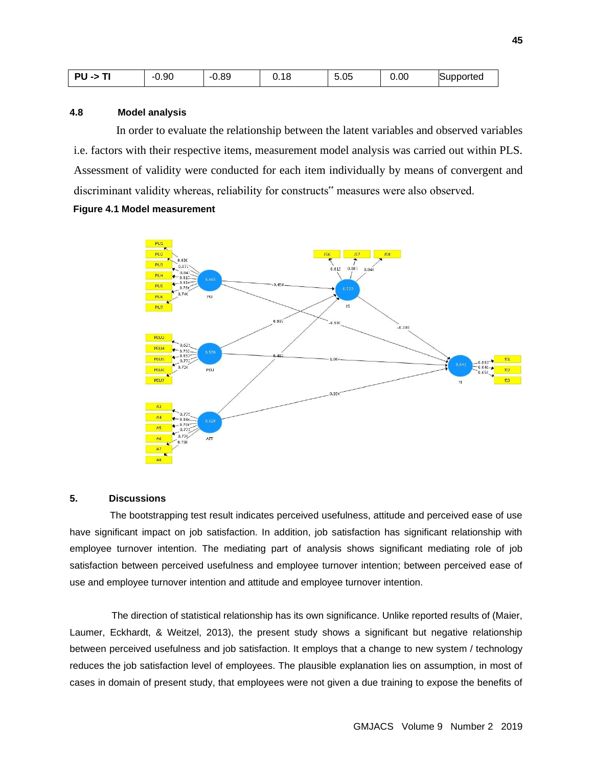| ---<br>--<br>-7<br>. . | $-0.90$ | 0.89<br>- 1 | 18<br>v. | $\overline{\phantom{0}}$<br>∩ҕ<br>.ບວ | 0.00 | iupported |
|------------------------|---------|-------------|----------|---------------------------------------|------|-----------|
|------------------------|---------|-------------|----------|---------------------------------------|------|-----------|

### **4.8 Model analysis**

 In order to evaluate the relationship between the latent variables and observed variables i.e. factors with their respective items, measurement model analysis was carried out within PLS. Assessment of validity were conducted for each item individually by means of convergent and discriminant validity whereas, reliability for constructs" measures were also observed.

**Figure 4.1 Model measurement** 



### **5. Discussions**

 The bootstrapping test result indicates perceived usefulness, attitude and perceived ease of use have significant impact on job satisfaction. In addition, job satisfaction has significant relationship with employee turnover intention. The mediating part of analysis shows significant mediating role of job satisfaction between perceived usefulness and employee turnover intention; between perceived ease of use and employee turnover intention and attitude and employee turnover intention.

The direction of statistical relationship has its own significance. Unlike reported results of (Maier, Laumer, Eckhardt, & Weitzel, 2013), the present study shows a significant but negative relationship between perceived usefulness and job satisfaction. It employs that a change to new system / technology reduces the job satisfaction level of employees. The plausible explanation lies on assumption, in most of cases in domain of present study, that employees were not given a due training to expose the benefits of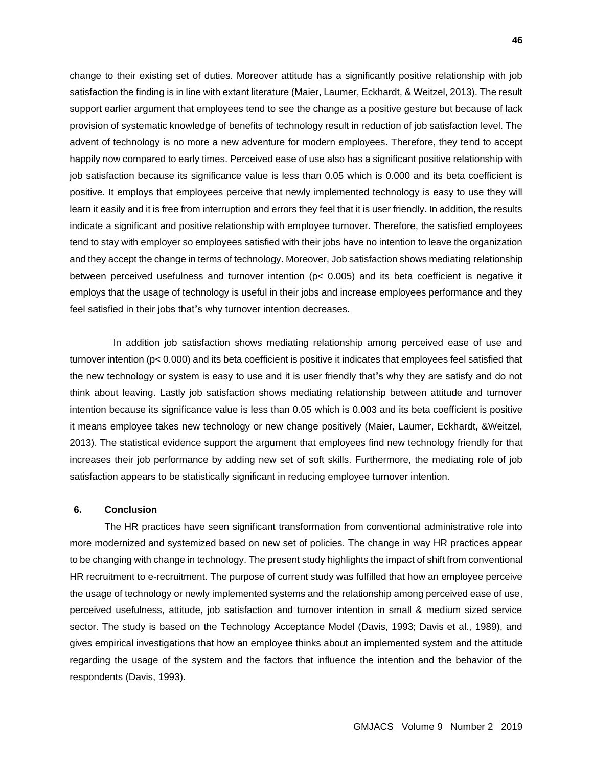change to their existing set of duties. Moreover attitude has a significantly positive relationship with job satisfaction the finding is in line with extant literature (Maier, Laumer, Eckhardt, & Weitzel, 2013). The result support earlier argument that employees tend to see the change as a positive gesture but because of lack provision of systematic knowledge of benefits of technology result in reduction of job satisfaction level. The advent of technology is no more a new adventure for modern employees. Therefore, they tend to accept happily now compared to early times. Perceived ease of use also has a significant positive relationship with job satisfaction because its significance value is less than 0.05 which is 0.000 and its beta coefficient is positive. It employs that employees perceive that newly implemented technology is easy to use they will learn it easily and it is free from interruption and errors they feel that it is user friendly. In addition, the results indicate a significant and positive relationship with employee turnover. Therefore, the satisfied employees tend to stay with employer so employees satisfied with their jobs have no intention to leave the organization and they accept the change in terms of technology. Moreover, Job satisfaction shows mediating relationship between perceived usefulness and turnover intention (p< 0.005) and its beta coefficient is negative it employs that the usage of technology is useful in their jobs and increase employees performance and they feel satisfied in their jobs that"s why turnover intention decreases.

In addition job satisfaction shows mediating relationship among perceived ease of use and turnover intention (p< 0.000) and its beta coefficient is positive it indicates that employees feel satisfied that the new technology or system is easy to use and it is user friendly that"s why they are satisfy and do not think about leaving. Lastly job satisfaction shows mediating relationship between attitude and turnover intention because its significance value is less than 0.05 which is 0.003 and its beta coefficient is positive it means employee takes new technology or new change positively (Maier, Laumer, Eckhardt, &Weitzel, 2013). The statistical evidence support the argument that employees find new technology friendly for that increases their job performance by adding new set of soft skills. Furthermore, the mediating role of job satisfaction appears to be statistically significant in reducing employee turnover intention.

### **6. Conclusion**

The HR practices have seen significant transformation from conventional administrative role into more modernized and systemized based on new set of policies. The change in way HR practices appear to be changing with change in technology. The present study highlights the impact of shift from conventional HR recruitment to e-recruitment. The purpose of current study was fulfilled that how an employee perceive the usage of technology or newly implemented systems and the relationship among perceived ease of use, perceived usefulness, attitude, job satisfaction and turnover intention in small & medium sized service sector. The study is based on the Technology Acceptance Model (Davis, 1993; Davis et al., 1989), and gives empirical investigations that how an employee thinks about an implemented system and the attitude regarding the usage of the system and the factors that influence the intention and the behavior of the respondents (Davis, 1993).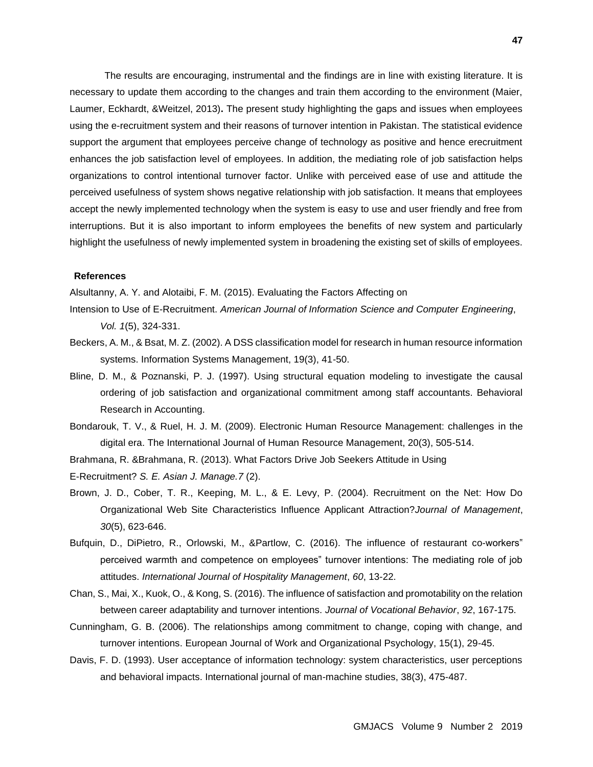The results are encouraging, instrumental and the findings are in line with existing literature. It is necessary to update them according to the changes and train them according to the environment (Maier, Laumer, Eckhardt, &Weitzel, 2013)**.** The present study highlighting the gaps and issues when employees using the e-recruitment system and their reasons of turnover intention in Pakistan. The statistical evidence support the argument that employees perceive change of technology as positive and hence erecruitment enhances the job satisfaction level of employees. In addition, the mediating role of job satisfaction helps organizations to control intentional turnover factor. Unlike with perceived ease of use and attitude the perceived usefulness of system shows negative relationship with job satisfaction. It means that employees accept the newly implemented technology when the system is easy to use and user friendly and free from interruptions. But it is also important to inform employees the benefits of new system and particularly highlight the usefulness of newly implemented system in broadening the existing set of skills of employees.

### **References**

Alsultanny, A. Y. and Alotaibi, F. M. (2015). Evaluating the Factors Affecting on

- Intension to Use of E-Recruitment. *American Journal of Information Science and Computer Engineering*, *Vol. 1*(5), 324-331.
- Beckers, A. M., & Bsat, M. Z. (2002). A DSS classification model for research in human resource information systems. Information Systems Management, 19(3), 41-50.
- Bline, D. M., & Poznanski, P. J. (1997). Using structural equation modeling to investigate the causal ordering of job satisfaction and organizational commitment among staff accountants. Behavioral Research in Accounting.
- Bondarouk, T. V., & Ruel, H. J. M. (2009). Electronic Human Resource Management: challenges in the digital era. The International Journal of Human Resource Management, 20(3), 505-514.
- Brahmana, R. &Brahmana, R. (2013). What Factors Drive Job Seekers Attitude in Using

E-Recruitment? *S. E. Asian J. Manage.7* (2).

- Brown, J. D., Cober, T. R., Keeping, M. L., & E. Levy, P. (2004). Recruitment on the Net: How Do Organizational Web Site Characteristics Influence Applicant Attraction?*Journal of Management*, *30*(5), 623-646.
- Bufquin, D., DiPietro, R., Orlowski, M., &Partlow, C. (2016). The influence of restaurant co-workers" perceived warmth and competence on employees" turnover intentions: The mediating role of job attitudes. *International Journal of Hospitality Management*, *60*, 13-22.
- Chan, S., Mai, X., Kuok, O., & Kong, S. (2016). The influence of satisfaction and promotability on the relation between career adaptability and turnover intentions. *Journal of Vocational Behavior*, *92*, 167-175.
- Cunningham, G. B. (2006). The relationships among commitment to change, coping with change, and turnover intentions. European Journal of Work and Organizational Psychology, 15(1), 29-45.
- Davis, F. D. (1993). User acceptance of information technology: system characteristics, user perceptions and behavioral impacts. International journal of man-machine studies, 38(3), 475-487.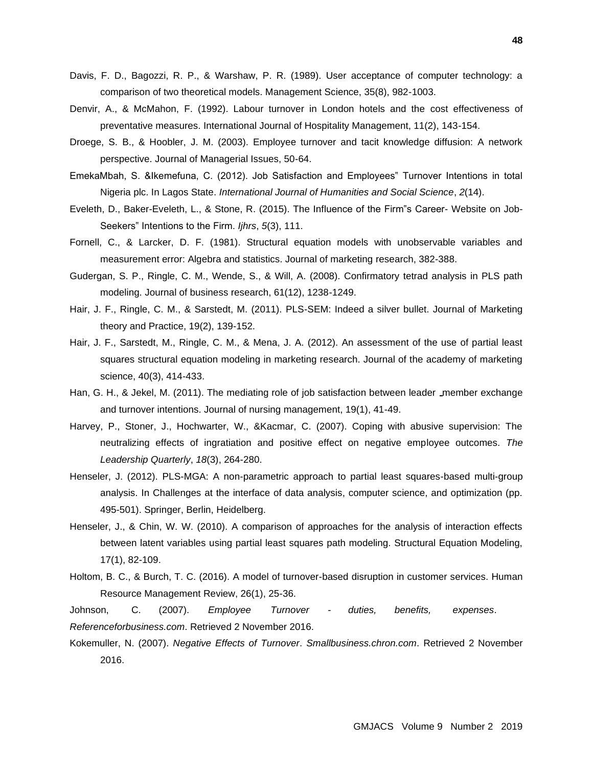- Davis, F. D., Bagozzi, R. P., & Warshaw, P. R. (1989). User acceptance of computer technology: a comparison of two theoretical models. Management Science, 35(8), 982-1003.
- Denvir, A., & McMahon, F. (1992). Labour turnover in London hotels and the cost effectiveness of preventative measures. International Journal of Hospitality Management, 11(2), 143-154.
- Droege, S. B., & Hoobler, J. M. (2003). Employee turnover and tacit knowledge diffusion: A network perspective. Journal of Managerial Issues, 50-64.
- EmekaMbah, S. &Ikemefuna, C. (2012). Job Satisfaction and Employees" Turnover Intentions in total Nigeria plc. In Lagos State. *International Journal of Humanities and Social Science*, *2*(14).
- Eveleth, D., Baker-Eveleth, L., & Stone, R. (2015). The Influence of the Firm"s Career- Website on Job-Seekers" Intentions to the Firm. *Ijhrs*, *5*(3), 111.
- Fornell, C., & Larcker, D. F. (1981). Structural equation models with unobservable variables and measurement error: Algebra and statistics. Journal of marketing research, 382-388.
- Gudergan, S. P., Ringle, C. M., Wende, S., & Will, A. (2008). Confirmatory tetrad analysis in PLS path modeling. Journal of business research, 61(12), 1238-1249.
- Hair, J. F., Ringle, C. M., & Sarstedt, M. (2011). PLS-SEM: Indeed a silver bullet. Journal of Marketing theory and Practice, 19(2), 139-152.
- Hair, J. F., Sarstedt, M., Ringle, C. M., & Mena, J. A. (2012). An assessment of the use of partial least squares structural equation modeling in marketing research. Journal of the academy of marketing science, 40(3), 414-433.
- Han, G. H., & Jekel, M. (2011). The mediating role of job satisfaction between leader \_member exchange and turnover intentions. Journal of nursing management, 19(1), 41-49.
- Harvey, P., Stoner, J., Hochwarter, W., &Kacmar, C. (2007). Coping with abusive supervision: The neutralizing effects of ingratiation and positive effect on negative employee outcomes. *The Leadership Quarterly*, *18*(3), 264-280.
- Henseler, J. (2012). PLS-MGA: A non-parametric approach to partial least squares-based multi-group analysis. In Challenges at the interface of data analysis, computer science, and optimization (pp. 495-501). Springer, Berlin, Heidelberg.
- Henseler, J., & Chin, W. W. (2010). A comparison of approaches for the analysis of interaction effects between latent variables using partial least squares path modeling. Structural Equation Modeling, 17(1), 82-109.
- Holtom, B. C., & Burch, T. C. (2016). A model of turnover-based disruption in customer services. Human Resource Management Review, 26(1), 25-36.

Johnson, C. (2007). *Employee Turnover - duties, benefits, expenses*. *Referenceforbusiness.com*. Retrieved 2 November 2016.

Kokemuller, N. (2007). *Negative Effects of Turnover*. *Smallbusiness.chron.com*. Retrieved 2 November 2016.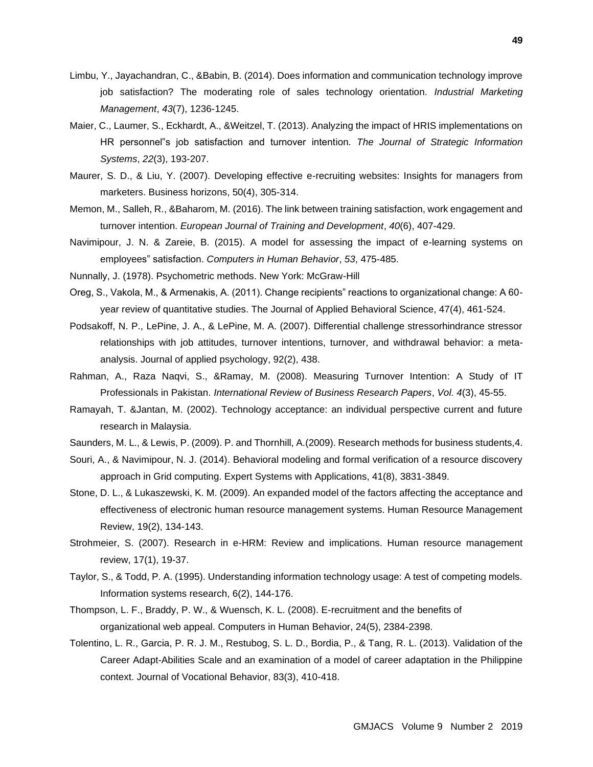- Limbu, Y., Jayachandran, C., &Babin, B. (2014). Does information and communication technology improve job satisfaction? The moderating role of sales technology orientation. *Industrial Marketing Management*, *43*(7), 1236-1245.
- Maier, C., Laumer, S., Eckhardt, A., &Weitzel, T. (2013). Analyzing the impact of HRIS implementations on HR personnel"s job satisfaction and turnover intention. *The Journal of Strategic Information Systems*, *22*(3), 193-207.
- Maurer, S. D., & Liu, Y. (2007). Developing effective e-recruiting websites: Insights for managers from marketers. Business horizons, 50(4), 305-314.
- Memon, M., Salleh, R., &Baharom, M. (2016). The link between training satisfaction, work engagement and turnover intention. *European Journal of Training and Development*, *40*(6), 407-429.
- Navimipour, J. N. & Zareie, B. (2015). A model for assessing the impact of e-learning systems on employees" satisfaction. *Computers in Human Behavior*, *53*, 475-485.
- Nunnally, J. (1978). Psychometric methods. New York: McGraw-Hill
- Oreg, S., Vakola, M., & Armenakis, A. (2011). Change recipients" reactions to organizational change: A 60 year review of quantitative studies. The Journal of Applied Behavioral Science, 47(4), 461-524.
- Podsakoff, N. P., LePine, J. A., & LePine, M. A. (2007). Differential challenge stressorhindrance stressor relationships with job attitudes, turnover intentions, turnover, and withdrawal behavior: a metaanalysis. Journal of applied psychology, 92(2), 438.
- Rahman, A., Raza Naqvi, S., &Ramay, M. (2008). Measuring Turnover Intention: A Study of IT Professionals in Pakistan. *International Review of Business Research Papers*, *Vol. 4*(3), 45-55.
- Ramayah, T. &Jantan, M. (2002). Technology acceptance: an individual perspective current and future research in Malaysia.
- Saunders, M. L., & Lewis, P. (2009). P. and Thornhill, A.(2009). Research methods for business students,4.
- Souri, A., & Navimipour, N. J. (2014). Behavioral modeling and formal verification of a resource discovery approach in Grid computing. Expert Systems with Applications, 41(8), 3831-3849.
- Stone, D. L., & Lukaszewski, K. M. (2009). An expanded model of the factors affecting the acceptance and effectiveness of electronic human resource management systems. Human Resource Management Review, 19(2), 134-143.
- Strohmeier, S. (2007). Research in e-HRM: Review and implications. Human resource management review, 17(1), 19-37.
- Taylor, S., & Todd, P. A. (1995). Understanding information technology usage: A test of competing models. Information systems research, 6(2), 144-176.
- Thompson, L. F., Braddy, P. W., & Wuensch, K. L. (2008). E-recruitment and the benefits of organizational web appeal. Computers in Human Behavior, 24(5), 2384-2398.
- Tolentino, L. R., Garcia, P. R. J. M., Restubog, S. L. D., Bordia, P., & Tang, R. L. (2013). Validation of the Career Adapt-Abilities Scale and an examination of a model of career adaptation in the Philippine context. Journal of Vocational Behavior, 83(3), 410-418.